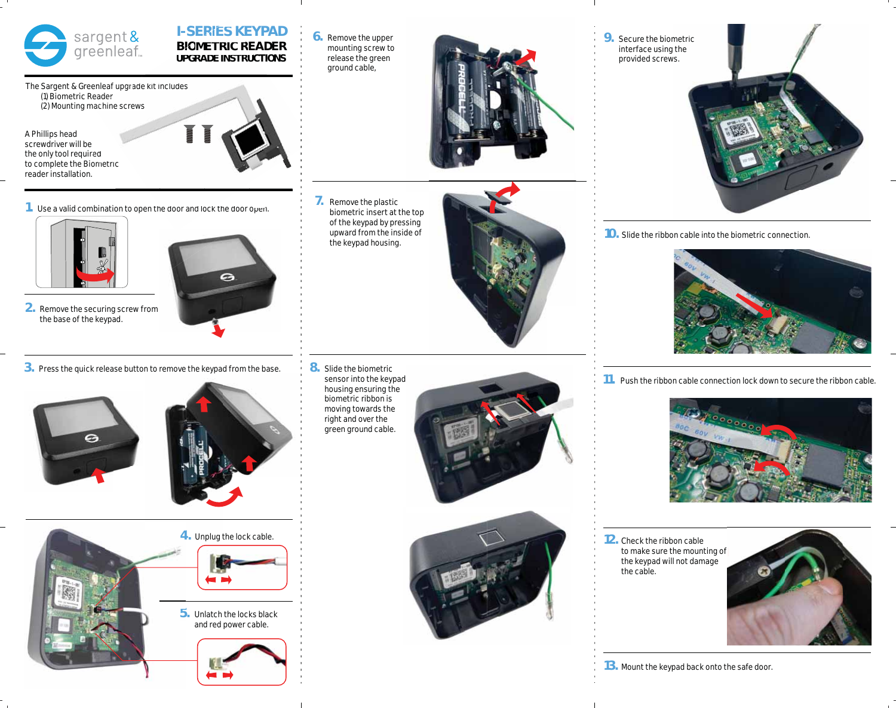

# **I-SERIES KEYPAD BIOMETRIC READER RE UPGRADE INSTRUCTIONS INSTRUC**

The Sargent & Greenleaf upgrade kit includes (1) Biometric Reader (2) Mounting machine screws

A Phillips head screwdriver will be the only tool required the only tool required<br>to complete the Biometric reader installation.



1. Use a valid combination to open the door and lock the door open.



- **2.** Remove the securing screw from the base of the keypad.
- e
- **3.** Press the quick release button to remove the keypad from the base.





**4.** Unplug the lock cable. **4**



**5.** Unlatch the locks black **5** and red power cable.



**6.** Remove the upper mounting screw to release the green ground cable,



**7.** Remove the plastic biometric insert at the top of the keypad by pressing upward from the inside of the keypad housing.



**8.** Slide the biometric sensor into the keypad housing ensuring the biometric ribbon is moving towards the right and over the green ground cable.





**9.** Secure the biometric interface using the provided screws.



**10.** Slide the ribbon cable into the biometric connection.



**11.** Push the ribbon cable connection lock down to secure the ribbon cable.



**12.** Check the ribbon cable to make sure the mounting of the keypad will not damage the cable.

 $\mathbf{I}$ 



**13.** Mount the keypad back onto the safe door.